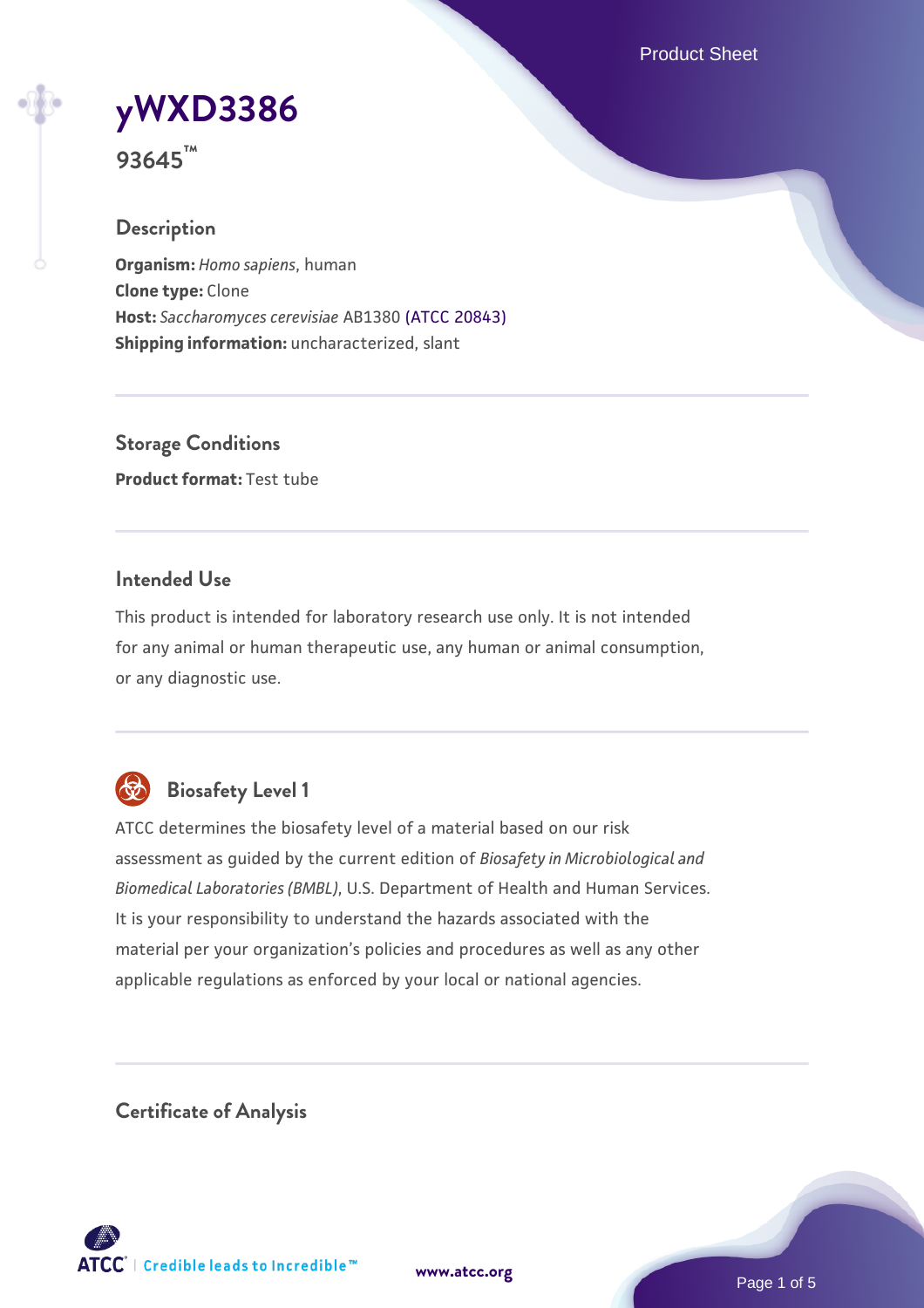Product Sheet

# **[yWXD3386](https://www.atcc.org/products/93645)**

**93645™**

## **Description**

**Organism:** *Homo sapiens*, human **Clone type:** Clone **Host:** *Saccharomyces cerevisiae* AB1380 [\(ATCC 20843\)](https://www.atcc.org/products/20843) **Shipping information:** uncharacterized, slant

**Storage Conditions Product format:** Test tube

## **Intended Use**

This product is intended for laboratory research use only. It is not intended for any animal or human therapeutic use, any human or animal consumption, or any diagnostic use.



# **Biosafety Level 1**

ATCC determines the biosafety level of a material based on our risk assessment as guided by the current edition of *Biosafety in Microbiological and Biomedical Laboratories (BMBL)*, U.S. Department of Health and Human Services. It is your responsibility to understand the hazards associated with the material per your organization's policies and procedures as well as any other applicable regulations as enforced by your local or national agencies.

**Certificate of Analysis**

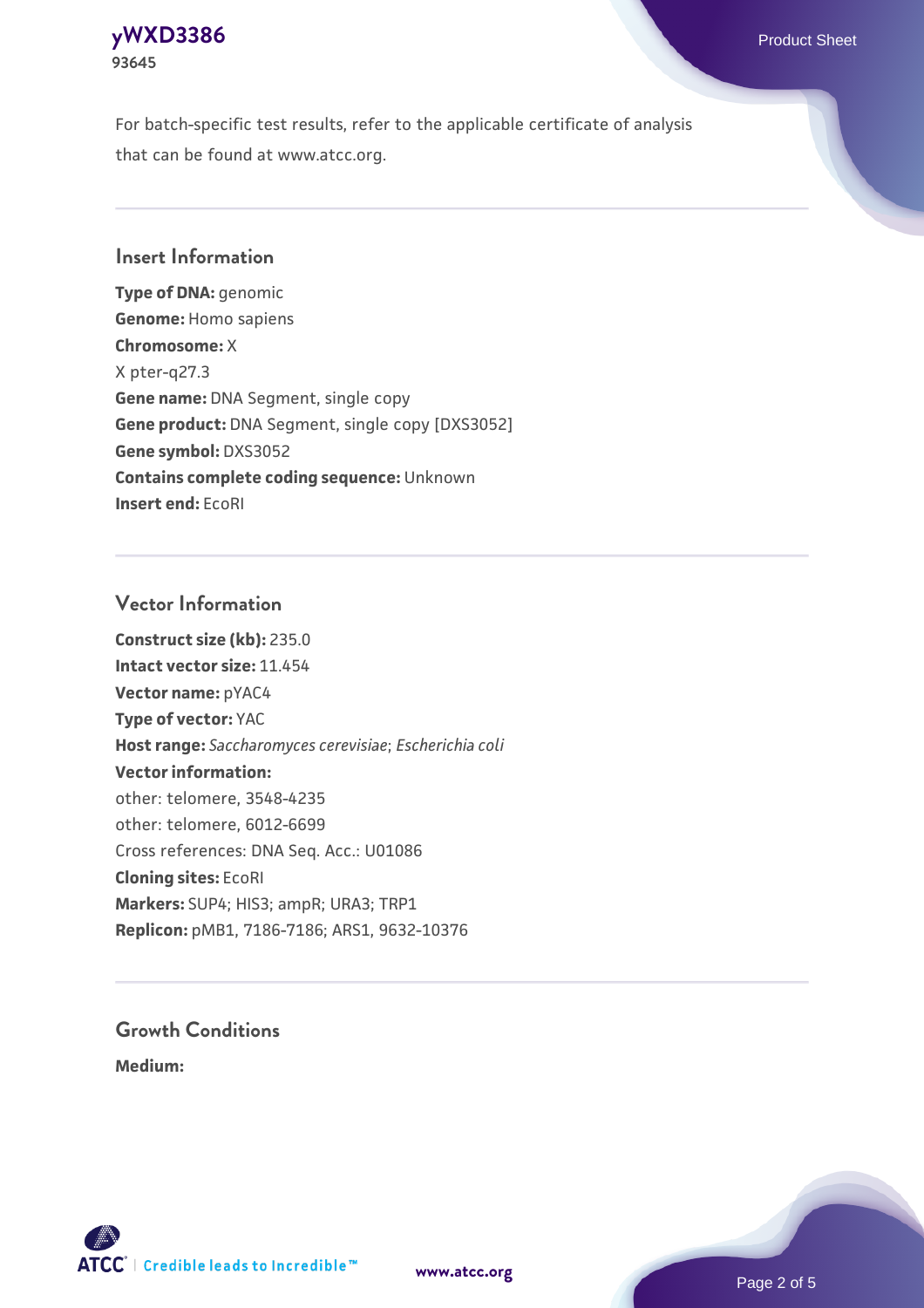## **[yWXD3386](https://www.atcc.org/products/93645)** Product Sheet **93645**

For batch-specific test results, refer to the applicable certificate of analysis that can be found at www.atcc.org.

## **Insert Information**

**Type of DNA:** genomic **Genome:** Homo sapiens **Chromosome:** X X pter-q27.3 **Gene name:** DNA Segment, single copy **Gene product:** DNA Segment, single copy [DXS3052] **Gene symbol:** DXS3052 **Contains complete coding sequence:** Unknown **Insert end:** EcoRI

## **Vector Information**

**Construct size (kb):** 235.0 **Intact vector size:** 11.454 **Vector name:** pYAC4 **Type of vector:** YAC **Host range:** *Saccharomyces cerevisiae*; *Escherichia coli* **Vector information:** other: telomere, 3548-4235 other: telomere, 6012-6699 Cross references: DNA Seq. Acc.: U01086 **Cloning sites:** EcoRI **Markers:** SUP4; HIS3; ampR; URA3; TRP1 **Replicon:** pMB1, 7186-7186; ARS1, 9632-10376

# **Growth Conditions**

**Medium:** 



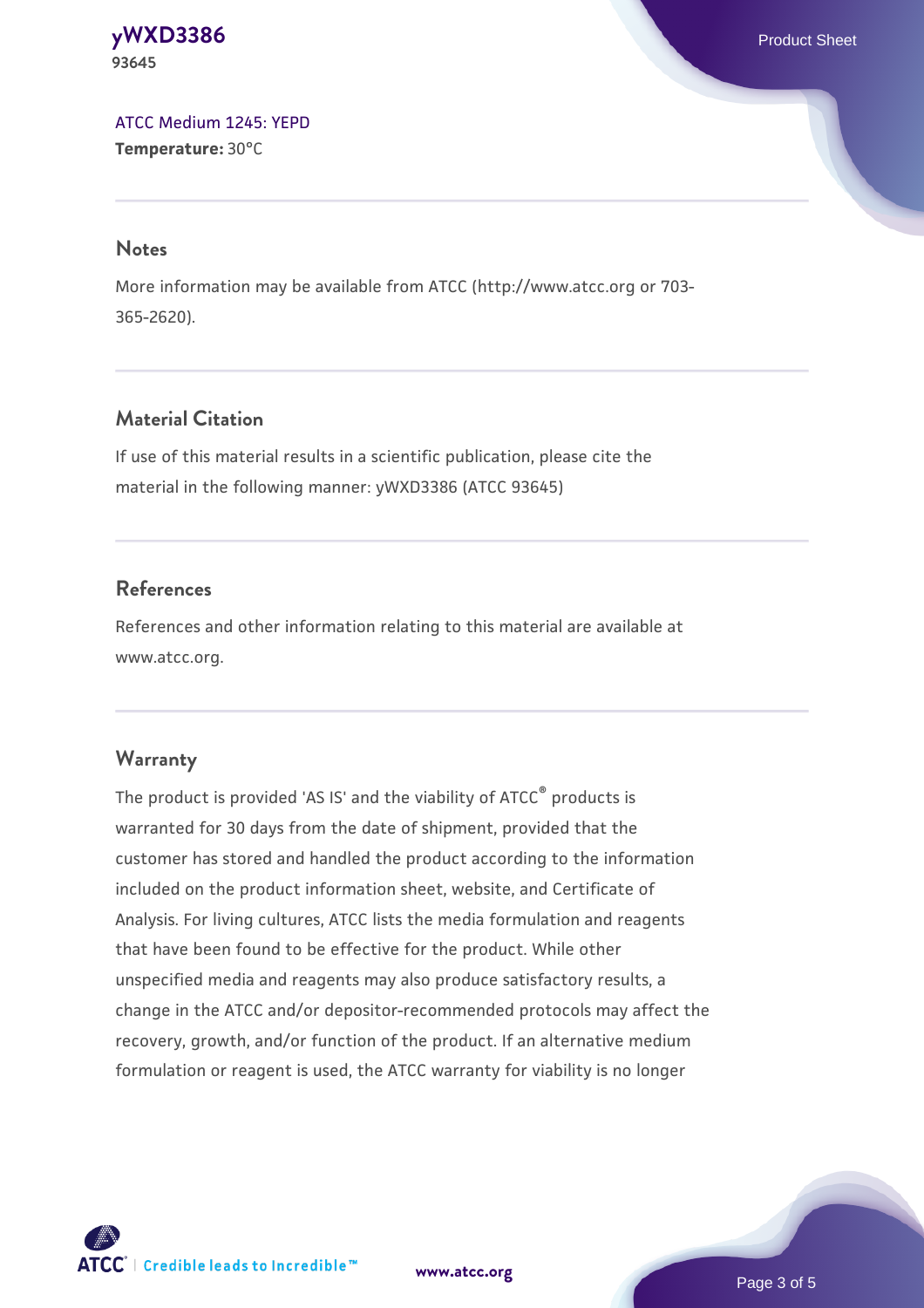#### **[yWXD3386](https://www.atcc.org/products/93645)** Product Sheet **93645**

[ATCC Medium 1245: YEPD](https://www.atcc.org/-/media/product-assets/documents/microbial-media-formulations/1/2/4/5/atcc-medium-1245.pdf?rev=705ca55d1b6f490a808a965d5c072196) **Temperature:** 30°C

#### **Notes**

More information may be available from ATCC (http://www.atcc.org or 703- 365-2620).

## **Material Citation**

If use of this material results in a scientific publication, please cite the material in the following manner: yWXD3386 (ATCC 93645)

## **References**

References and other information relating to this material are available at www.atcc.org.

## **Warranty**

The product is provided 'AS IS' and the viability of ATCC® products is warranted for 30 days from the date of shipment, provided that the customer has stored and handled the product according to the information included on the product information sheet, website, and Certificate of Analysis. For living cultures, ATCC lists the media formulation and reagents that have been found to be effective for the product. While other unspecified media and reagents may also produce satisfactory results, a change in the ATCC and/or depositor-recommended protocols may affect the recovery, growth, and/or function of the product. If an alternative medium formulation or reagent is used, the ATCC warranty for viability is no longer



**[www.atcc.org](http://www.atcc.org)**

Page 3 of 5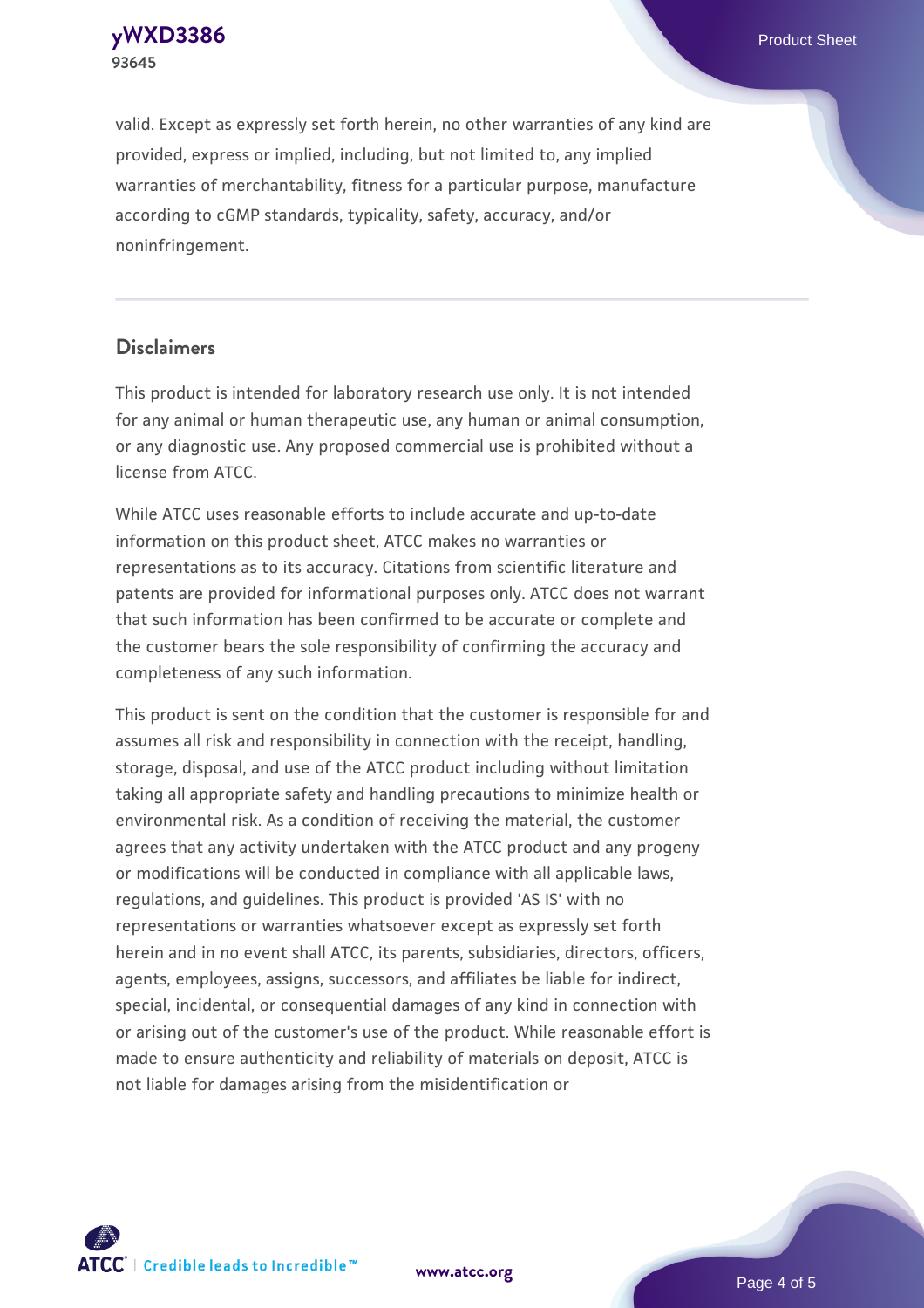**[yWXD3386](https://www.atcc.org/products/93645)** Product Sheet **93645**

valid. Except as expressly set forth herein, no other warranties of any kind are provided, express or implied, including, but not limited to, any implied warranties of merchantability, fitness for a particular purpose, manufacture according to cGMP standards, typicality, safety, accuracy, and/or noninfringement.

#### **Disclaimers**

This product is intended for laboratory research use only. It is not intended for any animal or human therapeutic use, any human or animal consumption, or any diagnostic use. Any proposed commercial use is prohibited without a license from ATCC.

While ATCC uses reasonable efforts to include accurate and up-to-date information on this product sheet, ATCC makes no warranties or representations as to its accuracy. Citations from scientific literature and patents are provided for informational purposes only. ATCC does not warrant that such information has been confirmed to be accurate or complete and the customer bears the sole responsibility of confirming the accuracy and completeness of any such information.

This product is sent on the condition that the customer is responsible for and assumes all risk and responsibility in connection with the receipt, handling, storage, disposal, and use of the ATCC product including without limitation taking all appropriate safety and handling precautions to minimize health or environmental risk. As a condition of receiving the material, the customer agrees that any activity undertaken with the ATCC product and any progeny or modifications will be conducted in compliance with all applicable laws, regulations, and guidelines. This product is provided 'AS IS' with no representations or warranties whatsoever except as expressly set forth herein and in no event shall ATCC, its parents, subsidiaries, directors, officers, agents, employees, assigns, successors, and affiliates be liable for indirect, special, incidental, or consequential damages of any kind in connection with or arising out of the customer's use of the product. While reasonable effort is made to ensure authenticity and reliability of materials on deposit, ATCC is not liable for damages arising from the misidentification or



**[www.atcc.org](http://www.atcc.org)**

Page 4 of 5